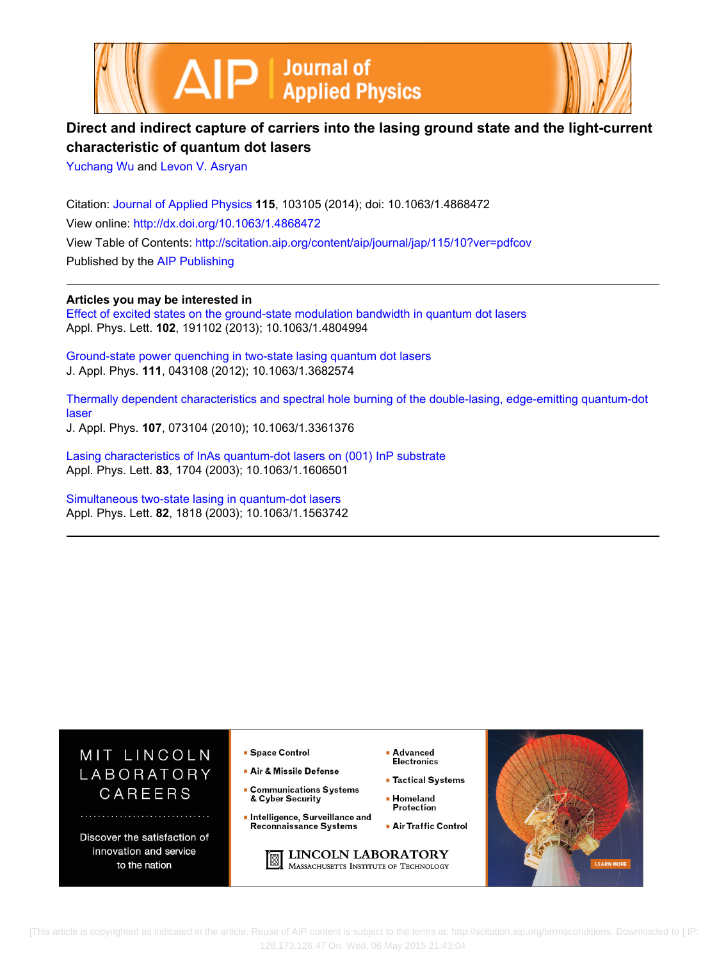



# **Direct and indirect capture of carriers into the lasing ground state and the light-current characteristic of quantum dot lasers**

[Yuchang Wu](http://scitation.aip.org/search?value1=Yuchang+Wu&option1=author) and [Levon V. Asryan](http://scitation.aip.org/search?value1=Levon+V.+Asryan&option1=author)

Citation: [Journal of Applied Physics](http://scitation.aip.org/content/aip/journal/jap?ver=pdfcov) **115**, 103105 (2014); doi: 10.1063/1.4868472 View online: <http://dx.doi.org/10.1063/1.4868472> View Table of Contents: <http://scitation.aip.org/content/aip/journal/jap/115/10?ver=pdfcov> Published by the [AIP Publishing](http://scitation.aip.org/content/aip?ver=pdfcov)

**Articles you may be interested in** [Effect of excited states on the ground-state modulation bandwidth in quantum dot lasers](http://scitation.aip.org/content/aip/journal/apl/102/19/10.1063/1.4804994?ver=pdfcov) Appl. Phys. Lett. **102**, 191102 (2013); 10.1063/1.4804994

[Ground-state power quenching in two-state lasing quantum dot lasers](http://scitation.aip.org/content/aip/journal/jap/111/4/10.1063/1.3682574?ver=pdfcov) J. Appl. Phys. **111**, 043108 (2012); 10.1063/1.3682574

[Thermally dependent characteristics and spectral hole burning of the double-lasing, edge-emitting quantum-dot](http://scitation.aip.org/content/aip/journal/jap/107/7/10.1063/1.3361376?ver=pdfcov) [laser](http://scitation.aip.org/content/aip/journal/jap/107/7/10.1063/1.3361376?ver=pdfcov)

J. Appl. Phys. **107**, 073104 (2010); 10.1063/1.3361376

[Lasing characteristics of InAs quantum-dot lasers on \(001\) InP substrate](http://scitation.aip.org/content/aip/journal/apl/83/9/10.1063/1.1606501?ver=pdfcov) Appl. Phys. Lett. **83**, 1704 (2003); 10.1063/1.1606501

[Simultaneous two-state lasing in quantum-dot lasers](http://scitation.aip.org/content/aip/journal/apl/82/12/10.1063/1.1563742?ver=pdfcov) Appl. Phys. Lett. **82**, 1818 (2003); 10.1063/1.1563742



 [This article is copyrighted as indicated in the article. Reuse of AIP content is subject to the terms at: http://scitation.aip.org/termsconditions. Downloaded to ] IP: 128.173.126.47 On: Wed, 06 May 2015 21:43:04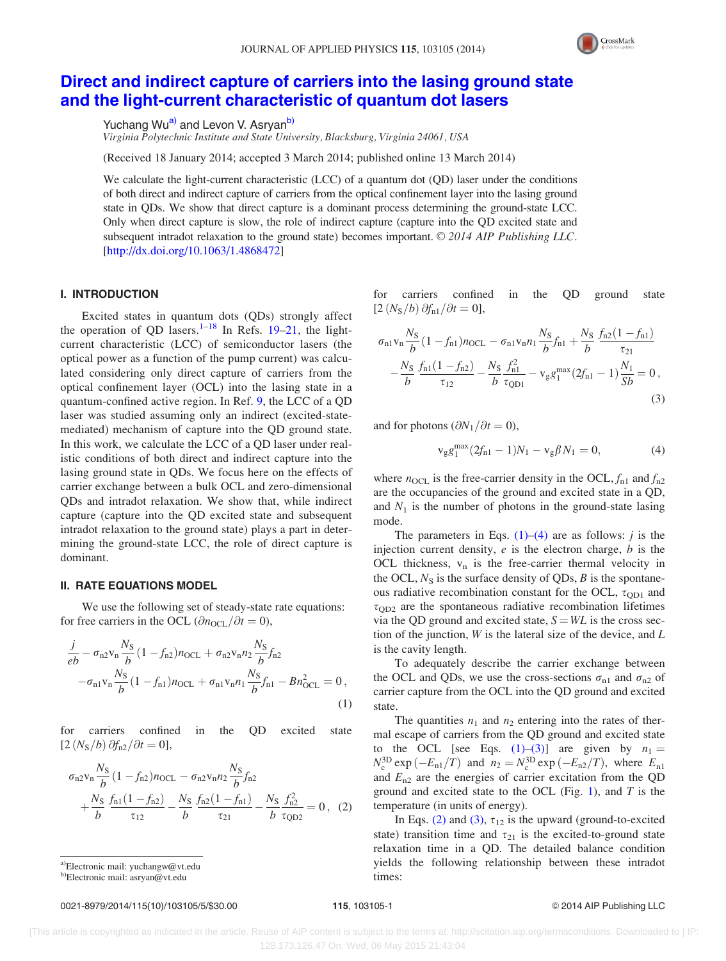

# <span id="page-1-0"></span>[Direct and indirect capture of carriers into the lasing ground state](http://dx.doi.org/10.1063/1.4868472) [and the light-current characteristic of quantum dot lasers](http://dx.doi.org/10.1063/1.4868472)

Yuchang Wu<sup>a)</sup> and Levon V. Asryan<sup>b)</sup>

Virginia Polytechnic Institute and State University, Blacksburg, Virginia 24061, USA

(Received 18 January 2014; accepted 3 March 2014; published online 13 March 2014)

We calculate the light-current characteristic (LCC) of a quantum dot (QD) laser under the conditions of both direct and indirect capture of carriers from the optical confinement layer into the lasing ground state in QDs. We show that direct capture is a dominant process determining the ground-state LCC. Only when direct capture is slow, the role of indirect capture (capture into the QD excited state and subsequent intradot relaxation to the ground state) becomes important.  $\odot$  2014 AIP Publishing LLC. [\[http://dx.doi.org/10.1063/1.4868472](http://dx.doi.org/10.1063/1.4868472)]

# I. INTRODUCTION

Excited states in quantum dots (QDs) strongly affect the operation of OD lasers.<sup>[1–18](#page-5-0)</sup> In Refs. [19–21](#page-5-0), the lightcurrent characteristic (LCC) of semiconductor lasers (the optical power as a function of the pump current) was calculated considering only direct capture of carriers from the optical confinement layer (OCL) into the lasing state in a quantum-confined active region. In Ref. [9,](#page-5-0) the LCC of a QD laser was studied assuming only an indirect (excited-statemediated) mechanism of capture into the QD ground state. In this work, we calculate the LCC of a QD laser under realistic conditions of both direct and indirect capture into the lasing ground state in QDs. We focus here on the effects of carrier exchange between a bulk OCL and zero-dimensional QDs and intradot relaxation. We show that, while indirect capture (capture into the QD excited state and subsequent intradot relaxation to the ground state) plays a part in determining the ground-state LCC, the role of direct capture is dominant.

# II. RATE EQUATIONS MODEL

We use the following set of steady-state rate equations: for free carriers in the OCL ( $\partial n_{\text{OCL}}/\partial t = 0$ ),

$$
\frac{j}{eb} - \sigma_{n2} v_n \frac{N_S}{b} (1 - f_{n2}) n_{\text{OCL}} + \sigma_{n2} v_n n_2 \frac{N_S}{b} f_{n2} \n- \sigma_{n1} v_n \frac{N_S}{b} (1 - f_{n1}) n_{\text{OCL}} + \sigma_{n1} v_n n_1 \frac{N_S}{b} f_{n1} - B n_{\text{OCL}}^2 = 0,
$$
\n(1)

for carriers confined in the QD excited state  $[2(N<sub>S</sub>/b)\partial f<sub>n2</sub>/\partial t = 0],$ 

$$
\sigma_{n2}v_{n}\frac{N_{S}}{b}(1-f_{n2})n_{\text{OCL}} - \sigma_{n2}v_{n}n_{2}\frac{N_{S}}{b}f_{n2} + \frac{N_{S}}{b}\frac{f_{n1}(1-f_{n2})}{\tau_{12}} - \frac{N_{S}}{b}\frac{f_{n2}(1-f_{n1})}{\tau_{21}} - \frac{N_{S}}{b}\frac{f_{n2}^{2}}{\tau_{\text{QD2}}} = 0, (2)
$$

a)Electronic mail: [yuchangw@vt.edu](mailto:yuchangw@vt.edu)

b)Electronic mail: [asryan@vt.edu](mailto:asryan@vt.edu)

### 0021-8979/2014/115(10)/103105/5/\$30.00 115, 103105-1 CDM 115, 103105-1 CDM 2014 AIP Publishing LLC

for carriers confined in the QD ground state  $[2(N<sub>S</sub>/b)\partial f<sub>n1</sub>/\partial t = 0],$ 

$$
\sigma_{n1}v_{n}\frac{N_{S}}{b}(1-f_{n1})n_{\text{OCL}} - \sigma_{n1}v_{n}n_{1}\frac{N_{S}}{b}f_{n1} + \frac{N_{S}}{b}\frac{f_{n2}(1-f_{n1})}{\tau_{21}} - \frac{N_{S}}{b}\frac{f_{n1}(1-f_{n2})}{\tau_{12}} - \frac{N_{S}}{b}\frac{f_{n1}^{2}}{\tau_{\text{QD1}}} - v_{g}g_{1}^{\text{max}}(2f_{n1} - 1)\frac{N_{1}}{Sb} = 0,
$$
\n(3)

and for photons  $(\partial N_1/\partial t = 0)$ ,

$$
v_g g_1^{\max}(2f_{n1} - 1)N_1 - v_g \beta N_1 = 0,
$$
\n(4)

where  $n_{\text{OCL}}$  is the free-carrier density in the OCL,  $f_{n1}$  and  $f_{n2}$ are the occupancies of the ground and excited state in a QD, and  $N_1$  is the number of photons in the ground-state lasing mode.

The parameters in Eqs.  $(1)$ – $(4)$  are as follows: *j* is the injection current density,  $e$  is the electron charge,  $b$  is the OCL thickness,  $v_n$  is the free-carrier thermal velocity in the OCL,  $N<sub>S</sub>$  is the surface density of QDs, B is the spontaneous radiative recombination constant for the OCL,  $\tau_{OD1}$  and  $\tau_{OD2}$  are the spontaneous radiative recombination lifetimes via the QD ground and excited state,  $S = WL$  is the cross section of the junction,  $W$  is the lateral size of the device, and  $L$ is the cavity length.

To adequately describe the carrier exchange between the OCL and QDs, we use the cross-sections  $\sigma_{n1}$  and  $\sigma_{n2}$  of carrier capture from the OCL into the QD ground and excited state.

The quantities  $n_1$  and  $n_2$  entering into the rates of thermal escape of carriers from the QD ground and excited state to the OCL [see Eqs. (1)–(3)] are given by  $n_1 =$  $N_c^{3D}$  exp ( $-E_{n1}/T$ ) and  $n_2 = N_c^{3D}$  exp ( $-E_{n2}/T$ ), where  $E_{n1}$ and  $E_{n2}$  are the energies of carrier excitation from the QD ground and excited state to the OCL (Fig. [1\)](#page-2-0), and  $T$  is the temperature (in units of energy).

In Eqs. (2) and (3),  $\tau_{12}$  is the upward (ground-to-excited state) transition time and  $\tau_{21}$  is the excited-to-ground state relaxation time in a QD. The detailed balance condition yields the following relationship between these intradot times: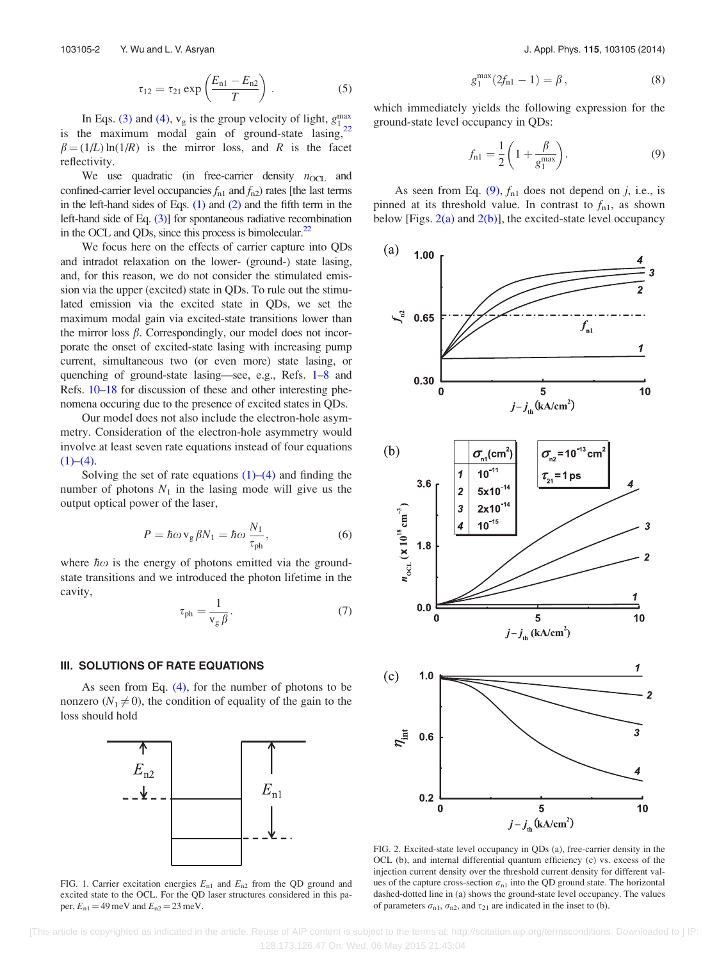$$
\tau_{12} = \tau_{21} \exp\left(\frac{E_{n1} - E_{n2}}{T}\right). \tag{5}
$$

<span id="page-2-0"></span>In Eqs. [\(3\)](#page-1-0) and [\(4\)](#page-1-0),  $v_g$  is the group velocity of light,  $g_1^{\text{max}}$ in Eqs. (3) and (4),  $v_g$  is the group velocity of light,  $g_1$ <br>is the maximum modal gain of ground-state lasing,<sup>[22](#page-5-0)</sup>  $\beta = (1/L) \ln(1/R)$  is the mirror loss, and R is the facet reflectivity.

We use quadratic (in free-carrier density  $n_{\text{OCL}}$  and confined-carrier level occupancies  $f_{n1}$  and  $f_{n2}$ ) rates [the last terms in the left-hand sides of Eqs.  $(1)$  and  $(2)$  and the fifth term in the left-hand side of Eq. [\(3\)\]](#page-1-0) for spontaneous radiative recombination in the OCL and QDs, since this process is bimolecular.<sup>[22](#page-5-0)</sup>

We focus here on the effects of carrier capture into QDs and intradot relaxation on the lower- (ground-) state lasing, and, for this reason, we do not consider the stimulated emission via the upper (excited) state in QDs. To rule out the stimulated emission via the excited state in QDs, we set the maximum modal gain via excited-state transitions lower than the mirror loss  $\beta$ . Correspondingly, our model does not incorporate the onset of excited-state lasing with increasing pump current, simultaneous two (or even more) state lasing, or quenching of ground-state lasing—see, e.g., Refs. [1–8](#page-5-0) and Refs. [10–18](#page-5-0) for discussion of these and other interesting phenomena occuring due to the presence of excited states in QDs.

Our model does not also include the electron-hole asymmetry. Consideration of the electron-hole asymmetry would involve at least seven rate equations instead of four equations  $(1)–(4)$ .

Solving the set of rate equations  $(1)$ – $(4)$  and finding the number of photons  $N_1$  in the lasing mode will give us the output optical power of the laser,

$$
P = \hbar \omega \,\mathbf{v}_{\mathrm{g}} \,\beta N_1 = \hbar \omega \,\frac{N_1}{\tau_{\mathrm{ph}}},\tag{6}
$$

where  $\hbar \omega$  is the energy of photons emitted via the groundstate transitions and we introduced the photon lifetime in the cavity,

$$
\tau_{\rm ph} = \frac{1}{v_{\rm g}\beta}.\tag{7}
$$

#### III. SOLUTIONS OF RATE EQUATIONS

As seen from Eq.  $(4)$ , for the number of photons to be nonzero ( $N_1 \neq 0$ ), the condition of equality of the gain to the loss should hold



FIG. 1. Carrier excitation energies  $E_{n1}$  and  $E_{n2}$  from the QD ground and excited state to the OCL. For the QD laser structures considered in this paper,  $E_{n1} = 49$  meV and  $E_{n2} = 23$  meV.

$$
g_1^{\max}(2f_{n1} - 1) = \beta, \qquad (8)
$$

which immediately yields the following expression for the ground-state level occupancy in QDs:

$$
f_{\rm nl} = \frac{1}{2} \left( 1 + \frac{\beta}{g_1^{\rm max}} \right). \tag{9}
$$

As seen from Eq.  $(9)$ ,  $f_{n1}$  does not depend on j, i.e., is pinned at its threshold value. In contrast to  $f_{n1}$ , as shown below [Figs.  $2(a)$  and  $2(b)$ ], the excited-state level occupancy



FIG. 2. Excited-state level occupancy in QDs (a), free-carrier density in the OCL (b), and internal differential quantum efficiency (c) vs. excess of the injection current density over the threshold current density for different values of the capture cross-section  $\sigma_{n1}$  into the QD ground state. The horizontal dashed-dotted line in (a) shows the ground-state level occupancy. The values of parameters  $\sigma_{n1}$ ,  $\sigma_{n2}$ , and  $\tau_{21}$  are indicated in the inset to (b).

 [This article is copyrighted as indicated in the article. Reuse of AIP content is subject to the terms at: http://scitation.aip.org/termsconditions. Downloaded to ] IP: 128.173.126.47 On: Wed, 06 May 2015 21:43:04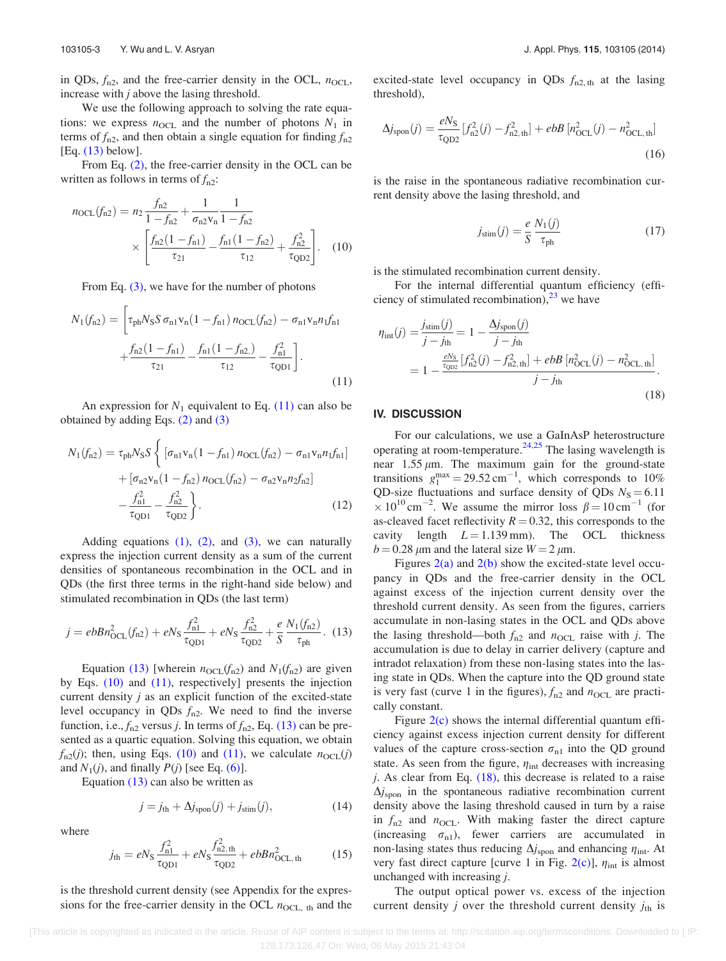<span id="page-3-0"></span>in QDs,  $f_{n2}$ , and the free-carrier density in the OCL,  $n_{\text{OCL}}$ , increase with  $j$  above the lasing threshold.

We use the following approach to solving the rate equations: we express  $n_{\text{OCL}}$  and the number of photons  $N_1$  in terms of  $f_{n2}$ , and then obtain a single equation for finding  $f_{n2}$ [Eq. (13) below].

From Eq. [\(2\),](#page-1-0) the free-carrier density in the OCL can be written as follows in terms of  $f_{n2}$ :

$$
n_{\text{OCL}}(f_{n2}) = n_2 \frac{f_{n2}}{1 - f_{n2}} + \frac{1}{\sigma_{n2} v_n} \frac{1}{1 - f_{n2}} \times \left[ \frac{f_{n2} (1 - f_{n1})}{\tau_{21}} - \frac{f_{n1} (1 - f_{n2})}{\tau_{12}} + \frac{f_{n2}^2}{\tau_{\text{QD2}}} \right]. \tag{10}
$$

From Eq. [\(3\)](#page-1-0), we have for the number of photons

$$
N_1(f_{n2}) = \left[\tau_{ph}N_S S \,\sigma_{n1}v_n(1 - f_{n1})\,n_{OCL}(f_{n2}) - \sigma_{n1}v_n n_1 f_{n1}\right. \\
\left. + \frac{f_{n2}(1 - f_{n1})}{\tau_{21}} - \frac{f_{n1}(1 - f_{n2})}{\tau_{12}} - \frac{f_{n1}^2}{\tau_{QD1}}\right].\n\tag{11}
$$

An expression for  $N_1$  equivalent to Eq. (11) can also be obtained by adding Eqs. [\(2\)](#page-1-0) and [\(3\)](#page-1-0)

$$
N_1(f_{n2}) = \tau_{ph} N_S S \left\{ \left[ \sigma_{n1} v_n (1 - f_{n1}) n_{\text{OCL}}(f_{n2}) - \sigma_{n1} v_n n_1 f_{n1} \right] + \left[ \sigma_{n2} v_n (1 - f_{n2}) n_{\text{OCL}}(f_{n2}) - \sigma_{n2} v_n n_2 f_{n2} \right] - \frac{f_{n1}^2}{\tau_{\text{QD1}}} - \frac{f_{n2}^2}{\tau_{\text{QD2}}} \right\}.
$$
 (12)

Adding equations  $(1)$ ,  $(2)$ , and  $(3)$ , we can naturally express the injection current density as a sum of the current densities of spontaneous recombination in the OCL and in QDs (the first three terms in the right-hand side below) and stimulated recombination in QDs (the last term)

$$
j = e b B n_{\text{OCL}}^2(f_{\text{n}2}) + e N_{\text{S}} \frac{f_{\text{n}1}^2}{\tau_{\text{QD}1}} + e N_{\text{S}} \frac{f_{\text{n}2}^2}{\tau_{\text{QD}2}} + \frac{e}{S} \frac{N_1(f_{\text{n}2})}{\tau_{\text{ph}}}.
$$
 (13)

Equation (13) [wherein  $n_{\text{OCL}}(f_{n2})$  and  $N_1(f_{n2})$  are given by Eqs. (10) and (11), respectively] presents the injection current density  $j$  as an explicit function of the excited-state level occupancy in QDs  $f_{n2}$ . We need to find the inverse function, i.e.,  $f_{n2}$  versus *j*. In terms of  $f_{n2}$ , Eq. (13) can be presented as a quartic equation. Solving this equation, we obtain  $f_{n2}(j)$ ; then, using Eqs. (10) and (11), we calculate  $n_{\text{OCL}}(j)$ and  $N_1(j)$ , and finally  $P(j)$  [see Eq. [\(6\)\]](#page-2-0).

Equation (13) can also be written as

$$
j = jth + \Delta jspon(j) + jstim(j),
$$
 (14)

where

$$
j_{\text{th}} = eN_{\text{S}} \frac{f_{\text{n1}}^2}{\tau_{\text{QD1}}} + eN_{\text{S}} \frac{f_{\text{n2},\text{th}}^2}{\tau_{\text{QD2}}} + ebbn_{\text{QCL},\text{th}}^2 \tag{15}
$$

is the threshold current density (see Appendix for the expressions for the free-carrier density in the OCL  $n_{\text{OCL, th}}$  and the excited-state level occupancy in QDs  $f_{n2,th}$  at the lasing threshold),

$$
\Delta j_{\rm spon}(j) = \frac{eN_{\rm S}}{\tau_{\rm QD2}} [f_{\rm n2}^2(j) - f_{\rm n2, th}^2] + ebB [n_{\rm OCL}^2(j) - n_{\rm OCL, th}^2]
$$
\n(16)

is the raise in the spontaneous radiative recombination current density above the lasing threshold, and

$$
j_{\text{stim}}(j) = \frac{e}{S} \frac{N_1(j)}{\tau_{\text{ph}}} \tag{17}
$$

is the stimulated recombination current density.

For the internal differential quantum efficiency (efficiency of stimulated recombination),  $^{23}$  $^{23}$  $^{23}$  we have

$$
\eta_{\rm int}(j) = \frac{j_{\rm sim}(j)}{j - j_{\rm th}} = 1 - \frac{\Delta j_{\rm spon}(j)}{j - j_{\rm th}}
$$
  
= 
$$
1 - \frac{\frac{eN_{\rm s}}{\tau_{\rm OD2}} [f_{\rm n2}^2(j) - f_{\rm n2, th}^2] + ebB [n_{\rm OCL}^2(j) - n_{\rm OCL, th}^2]}{j - j_{\rm th}}.
$$
(18)

# IV. DISCUSSION

For our calculations, we use a GaInAsP heterostructure operating at room-temperature.<sup>[24,25](#page-5-0)</sup> The lasing wavelength is near  $1.55 \mu m$ . The maximum gain for the ground-state transitions  $g_1^{\text{max}} = 29.52 \text{ cm}^{-1}$ , which corresponds to 10% QD-size fluctuations and surface density of QDs  $N<sub>S</sub> = 6.11$  $\times 10^{10}$  cm<sup>-2</sup>. We assume the mirror loss  $\beta = 10$  cm<sup>-1</sup> (for as-cleaved facet reflectivity  $R = 0.32$ , this corresponds to the cavity length  $L = 1.139$  mm). The OCL thickness  $b = 0.28 \,\mu\text{m}$  and the lateral size  $W = 2 \,\mu\text{m}$ .

Figures  $2(a)$  and  $2(b)$  show the excited-state level occupancy in QDs and the free-carrier density in the OCL against excess of the injection current density over the threshold current density. As seen from the figures, carriers accumulate in non-lasing states in the OCL and QDs above the lasing threshold—both  $f_{n2}$  and  $n_{\text{OCL}}$  raise with j. The accumulation is due to delay in carrier delivery (capture and intradot relaxation) from these non-lasing states into the lasing state in QDs. When the capture into the QD ground state is very fast (curve 1 in the figures),  $f_{n2}$  and  $n_{\text{OCL}}$  are practically constant.

Figure  $2(c)$  shows the internal differential quantum efficiency against excess injection current density for different values of the capture cross-section  $\sigma_{n1}$  into the QD ground state. As seen from the figure,  $\eta_{int}$  decreases with increasing j. As clear from Eq.  $(18)$ , this decrease is related to a raise  $\Delta j_{\rm spon}$  in the spontaneous radiative recombination current density above the lasing threshold caused in turn by a raise in  $f_{n2}$  and  $n_{\text{OCL}}$ . With making faster the direct capture (increasing  $\sigma_{n1}$ ), fewer carriers are accumulated in non-lasing states thus reducing  $\Delta j_{\text{spon}}$  and enhancing  $\eta_{\text{int}}$ . At very fast direct capture [curve 1 in Fig. [2\(c\)](#page-2-0)],  $\eta_{int}$  is almost unchanged with increasing j.

The output optical power vs. excess of the injection current density *j* over the threshold current density  $j_{th}$  is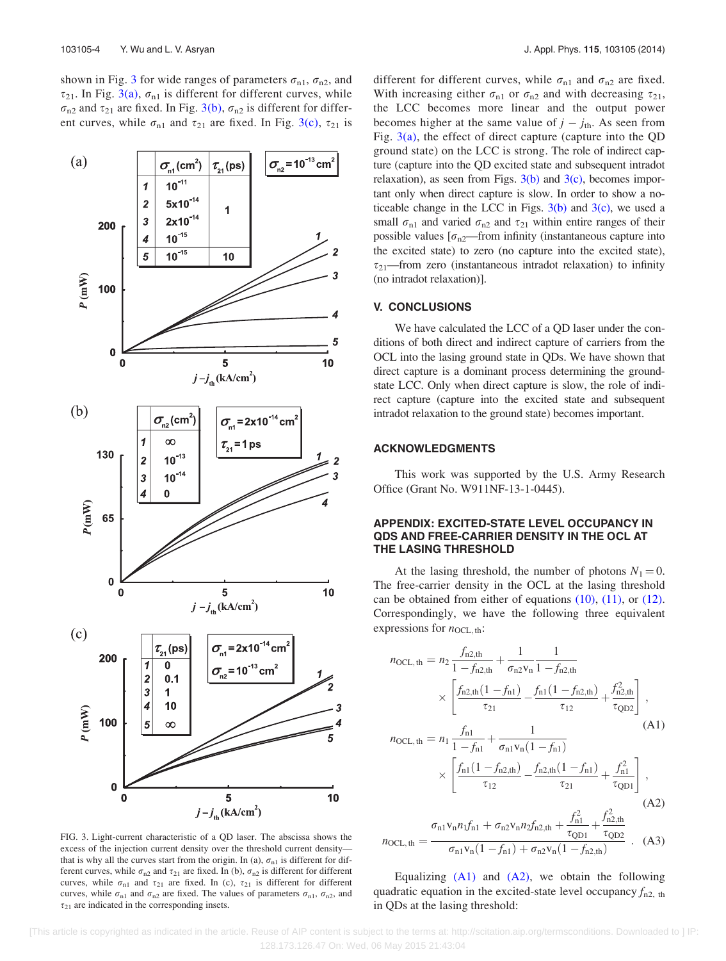<span id="page-4-0"></span>shown in Fig. 3 for wide ranges of parameters  $\sigma_{n1}$ ,  $\sigma_{n2}$ , and  $\tau_{21}$ . In Fig. 3(a),  $\sigma_{n1}$  is different for different curves, while  $\sigma_{n2}$  and  $\tau_{21}$  are fixed. In Fig. 3(b),  $\sigma_{n2}$  is different for different curves, while  $\sigma_{n1}$  and  $\tau_{21}$  are fixed. In Fig. 3(c),  $\tau_{21}$  is



FIG. 3. Light-current characteristic of a QD laser. The abscissa shows the excess of the injection current density over the threshold current density that is why all the curves start from the origin. In (a),  $\sigma_{n1}$  is different for different curves, while  $\sigma_{n2}$  and  $\tau_{21}$  are fixed. In (b),  $\sigma_{n2}$  is different for different curves, while  $\sigma_{n1}$  and  $\tau_{21}$  are fixed. In (c),  $\tau_{21}$  is different for different curves, while  $\sigma_{n1}$  and  $\sigma_{n2}$  are fixed. The values of parameters  $\sigma_{n1}$ ,  $\sigma_{n2}$ , and  $\tau_{21}$  are indicated in the corresponding insets.

different for different curves, while  $\sigma_{n1}$  and  $\sigma_{n2}$  are fixed. With increasing either  $\sigma_{n1}$  or  $\sigma_{n2}$  and with decreasing  $\tau_{21}$ , the LCC becomes more linear and the output power becomes higher at the same value of  $j - j_{th}$ . As seen from Fig.  $3(a)$ , the effect of direct capture (capture into the QD ground state) on the LCC is strong. The role of indirect capture (capture into the QD excited state and subsequent intradot relaxation), as seen from Figs.  $3(b)$  and  $3(c)$ , becomes important only when direct capture is slow. In order to show a noticeable change in the LCC in Figs.  $3(b)$  and  $3(c)$ , we used a small  $\sigma_{n1}$  and varied  $\sigma_{n2}$  and  $\tau_{21}$  within entire ranges of their possible values  $[\sigma_{n2}$ —from infinity (instantaneous capture into the excited state) to zero (no capture into the excited state),  $\tau_{21}$ —from zero (instantaneous intradot relaxation) to infinity (no intradot relaxation)].

#### V. CONCLUSIONS

We have calculated the LCC of a QD laser under the conditions of both direct and indirect capture of carriers from the OCL into the lasing ground state in QDs. We have shown that direct capture is a dominant process determining the groundstate LCC. Only when direct capture is slow, the role of indirect capture (capture into the excited state and subsequent intradot relaxation to the ground state) becomes important.

# ACKNOWLEDGMENTS

This work was supported by the U.S. Army Research Office (Grant No. W911NF-13-1-0445).

# APPENDIX: EXCITED-STATE LEVEL OCCUPANCY IN QDS AND FREE-CARRIER DENSITY IN THE OCL AT THE LASING THRESHOLD

At the lasing threshold, the number of photons  $N_1 = 0$ . The free-carrier density in the OCL at the lasing threshold can be obtained from either of equations  $(10)$ ,  $(11)$ , or  $(12)$ . Correspondingly, we have the following three equivalent expressions for  $n_{\text{OCL, th}}$ :

$$
n_{\text{OCL},\text{th}} = n_2 \frac{f_{n2,\text{th}}}{1 - f_{n2,\text{th}}} + \frac{1}{\sigma_{n2} v_n} \frac{1}{1 - f_{n2,\text{th}}}
$$

$$
\times \left[ \frac{f_{n2,\text{th}}(1 - f_{n1})}{\tau_{21}} - \frac{f_{n1}(1 - f_{n2,\text{th}})}{\tau_{12}} + \frac{f_{n2,\text{th}}^2}{\tau_{\text{QD2}}} \right],
$$
(A1)

$$
n_{\text{OCL},\text{th}} = n_1 \frac{f_{\text{nl}}}{1 - f_{\text{nl}}} + \frac{1}{\sigma_{\text{nl}} v_{\text{n}} (1 - f_{\text{nl}})}
$$
\n
$$
\times \left[ \frac{f_{\text{nl}} (1 - f_{\text{n2},\text{th}})}{\tau_{12}} - \frac{f_{\text{n2},\text{th}} (1 - f_{\text{nl}})}{\tau_{21}} + \frac{f_{\text{n1}}^2}{\tau_{\text{QDI}}} \right],
$$
\n(A2)

$$
n_{\text{OCL},\text{th}} = \frac{\sigma_{\text{n1}}v_{\text{n}}n_{1}f_{\text{n1}} + \sigma_{\text{n2}}v_{\text{n}}n_{2}f_{\text{n2},\text{th}} + \frac{f_{\text{n1}}^{2}}{\tau_{\text{QD1}}} + \frac{f_{\text{n2},\text{th}}^{2}}{\tau_{\text{QD2}}}}{\sigma_{\text{n1}}v_{\text{n}}(1 - f_{\text{n1}}) + \sigma_{\text{n2}}v_{\text{n}}(1 - f_{\text{n2},\text{th}})} \tag{A3}
$$

Equalizing  $(A1)$  and  $(A2)$ , we obtain the following quadratic equation in the excited-state level occupancy  $f_{n2, th}$ in QDs at the lasing threshold: